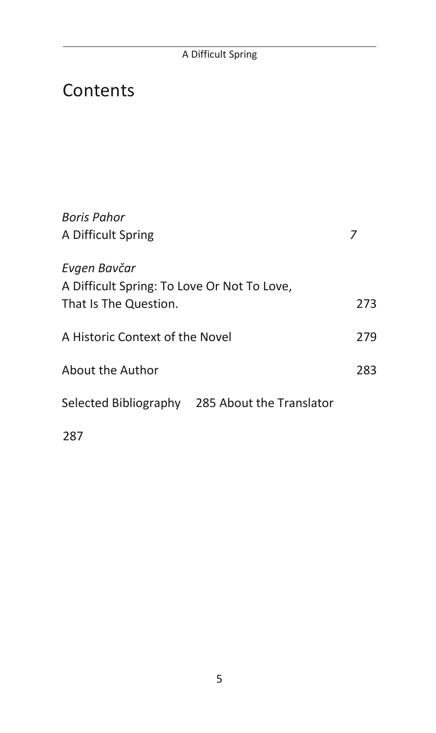# **Contents**

| <b>Boris Pahor</b>                             |     |
|------------------------------------------------|-----|
| A Difficult Spring                             | 7   |
| Evgen Bavčar                                   |     |
| A Difficult Spring: To Love Or Not To Love,    |     |
| That Is The Question.                          | 273 |
|                                                |     |
| A Historic Context of the Novel                | 279 |
| About the Author                               | 283 |
|                                                |     |
| Selected Bibliography 285 About the Translator |     |
| 287                                            |     |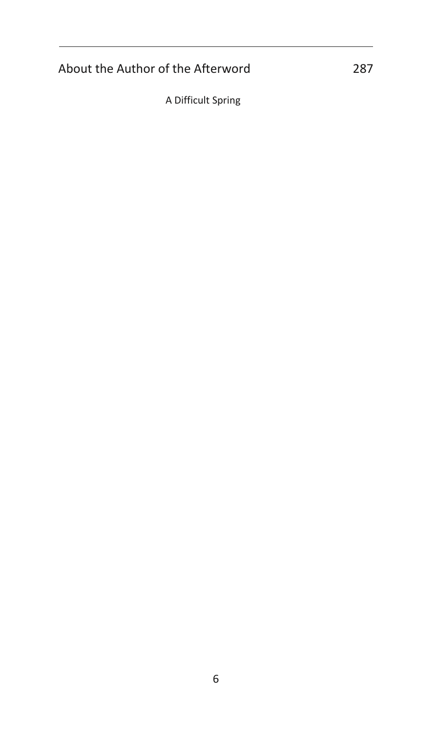## About the Author of the Afterword 287

A Difficult Spring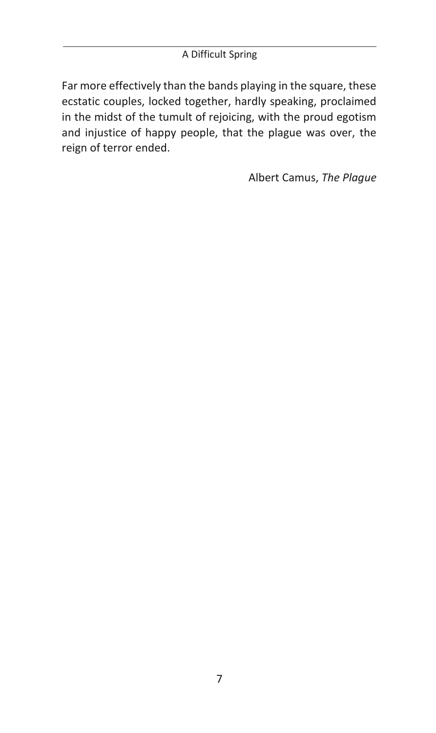### A Difficult Spring

Far more effectively than the bands playing in the square, these ecstatic couples, locked together, hardly speaking, proclaimed in the midst of the tumult of rejoicing, with the proud egotism and injustice of happy people, that the plague was over, the reign of terror ended.

Albert Camus, *The Plague*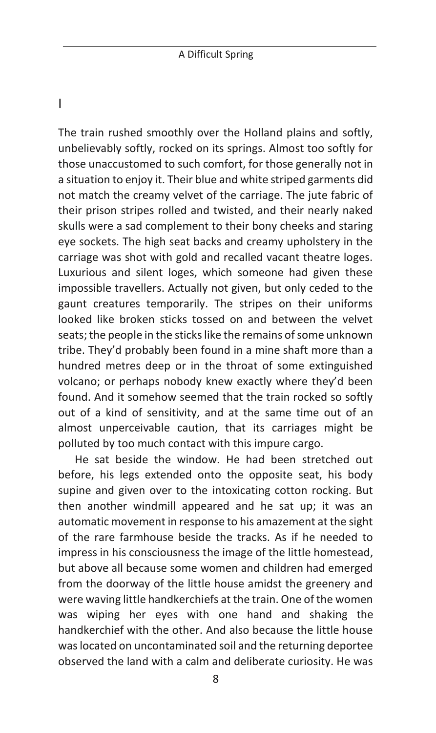I

The train rushed smoothly over the Holland plains and softly, unbelievably softly, rocked on its springs. Almost too softly for those unaccustomed to such comfort, for those generally not in a situation to enjoy it. Their blue and white striped garments did not match the creamy velvet of the carriage. The jute fabric of their prison stripes rolled and twisted, and their nearly naked skulls were a sad complement to their bony cheeks and staring eye sockets. The high seat backs and creamy upholstery in the carriage was shot with gold and recalled vacant theatre loges. Luxurious and silent loges, which someone had given these impossible travellers. Actually not given, but only ceded to the gaunt creatures temporarily. The stripes on their uniforms looked like broken sticks tossed on and between the velvet seats; the people in the sticks like the remains of some unknown tribe. They'd probably been found in a mine shaft more than a hundred metres deep or in the throat of some extinguished volcano; or perhaps nobody knew exactly where they'd been found. And it somehow seemed that the train rocked so softly out of a kind of sensitivity, and at the same time out of an almost unperceivable caution, that its carriages might be polluted by too much contact with this impure cargo.

He sat beside the window. He had been stretched out before, his legs extended onto the opposite seat, his body supine and given over to the intoxicating cotton rocking. But then another windmill appeared and he sat up; it was an automatic movement in response to his amazement at the sight of the rare farmhouse beside the tracks. As if he needed to impress in his consciousness the image of the little homestead, but above all because some women and children had emerged from the doorway of the little house amidst the greenery and were waving little handkerchiefs at the train. One of the women was wiping her eyes with one hand and shaking the handkerchief with the other. And also because the little house was located on uncontaminated soil and the returning deportee observed the land with a calm and deliberate curiosity. He was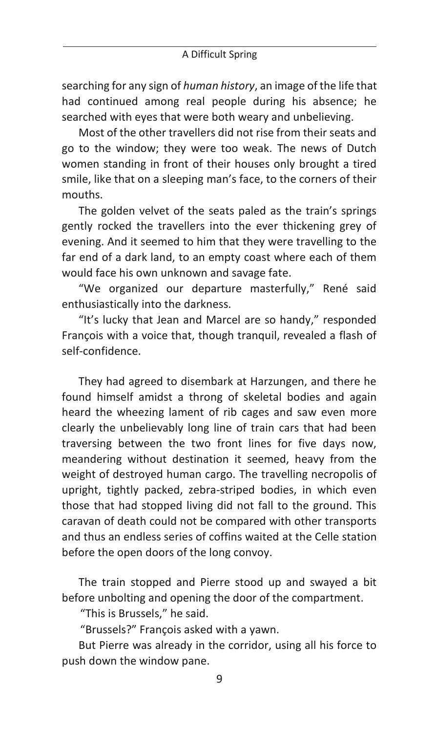searching for any sign of *human history*, an image of the life that had continued among real people during his absence; he searched with eyes that were both weary and unbelieving.

Most of the other travellers did not rise from their seats and go to the window; they were too weak. The news of Dutch women standing in front of their houses only brought a tired smile, like that on a sleeping man's face, to the corners of their mouths.

The golden velvet of the seats paled as the train's springs gently rocked the travellers into the ever thickening grey of evening. And it seemed to him that they were travelling to the far end of a dark land, to an empty coast where each of them would face his own unknown and savage fate.

"We organized our departure masterfully," René said enthusiastically into the darkness.

"It's lucky that Jean and Marcel are so handy," responded François with a voice that, though tranquil, revealed a flash of self-confidence.

They had agreed to disembark at Harzungen, and there he found himself amidst a throng of skeletal bodies and again heard the wheezing lament of rib cages and saw even more clearly the unbelievably long line of train cars that had been traversing between the two front lines for five days now, meandering without destination it seemed, heavy from the weight of destroyed human cargo. The travelling necropolis of upright, tightly packed, zebra-striped bodies, in which even those that had stopped living did not fall to the ground. This caravan of death could not be compared with other transports and thus an endless series of coffins waited at the Celle station before the open doors of the long convoy.

The train stopped and Pierre stood up and swayed a bit before unbolting and opening the door of the compartment.

"This is Brussels," he said.

"Brussels?" François asked with a yawn.

But Pierre was already in the corridor, using all his force to push down the window pane.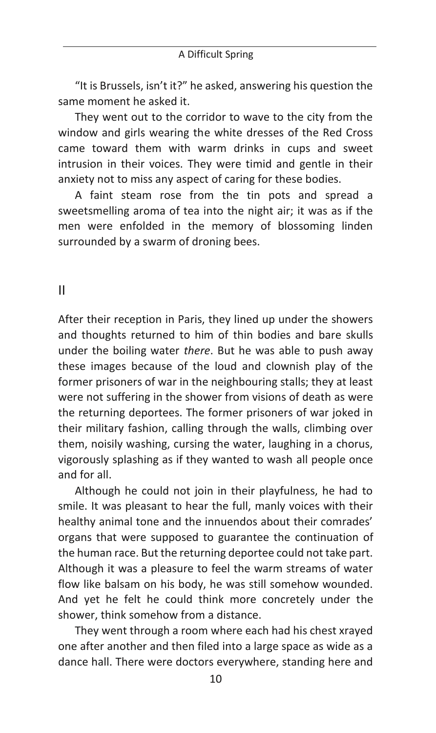"It is Brussels, isn't it?" he asked, answering his question the same moment he asked it.

They went out to the corridor to wave to the city from the window and girls wearing the white dresses of the Red Cross came toward them with warm drinks in cups and sweet intrusion in their voices. They were timid and gentle in their anxiety not to miss any aspect of caring for these bodies.

A faint steam rose from the tin pots and spread a sweetsmelling aroma of tea into the night air; it was as if the men were enfolded in the memory of blossoming linden surrounded by a swarm of droning bees.

#### II

After their reception in Paris, they lined up under the showers and thoughts returned to him of thin bodies and bare skulls under the boiling water *there*. But he was able to push away these images because of the loud and clownish play of the former prisoners of war in the neighbouring stalls; they at least were not suffering in the shower from visions of death as were the returning deportees. The former prisoners of war joked in their military fashion, calling through the walls, climbing over them, noisily washing, cursing the water, laughing in a chorus, vigorously splashing as if they wanted to wash all people once and for all.

Although he could not join in their playfulness, he had to smile. It was pleasant to hear the full, manly voices with their healthy animal tone and the innuendos about their comrades' organs that were supposed to guarantee the continuation of the human race. But the returning deportee could not take part. Although it was a pleasure to feel the warm streams of water flow like balsam on his body, he was still somehow wounded. And yet he felt he could think more concretely under the shower, think somehow from a distance.

They went through a room where each had his chest xrayed one after another and then filed into a large space as wide as a dance hall. There were doctors everywhere, standing here and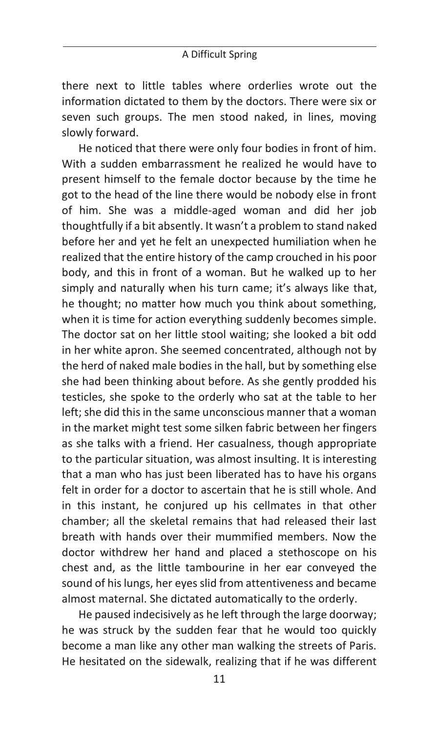there next to little tables where orderlies wrote out the information dictated to them by the doctors. There were six or seven such groups. The men stood naked, in lines, moving slowly forward.

He noticed that there were only four bodies in front of him. With a sudden embarrassment he realized he would have to present himself to the female doctor because by the time he got to the head of the line there would be nobody else in front of him. She was a middle-aged woman and did her job thoughtfully if a bit absently. It wasn't a problem to stand naked before her and yet he felt an unexpected humiliation when he realized that the entire history of the camp crouched in his poor body, and this in front of a woman. But he walked up to her simply and naturally when his turn came; it's always like that, he thought; no matter how much you think about something, when it is time for action everything suddenly becomes simple. The doctor sat on her little stool waiting; she looked a bit odd in her white apron. She seemed concentrated, although not by the herd of naked male bodies in the hall, but by something else she had been thinking about before. As she gently prodded his testicles, she spoke to the orderly who sat at the table to her left; she did this in the same unconscious manner that a woman in the market might test some silken fabric between her fingers as she talks with a friend. Her casualness, though appropriate to the particular situation, was almost insulting. It is interesting that a man who has just been liberated has to have his organs felt in order for a doctor to ascertain that he is still whole. And in this instant, he conjured up his cellmates in that other chamber; all the skeletal remains that had released their last breath with hands over their mummified members. Now the doctor withdrew her hand and placed a stethoscope on his chest and, as the little tambourine in her ear conveyed the sound of his lungs, her eyes slid from attentiveness and became almost maternal. She dictated automatically to the orderly.

He paused indecisively as he left through the large doorway; he was struck by the sudden fear that he would too quickly become a man like any other man walking the streets of Paris. He hesitated on the sidewalk, realizing that if he was different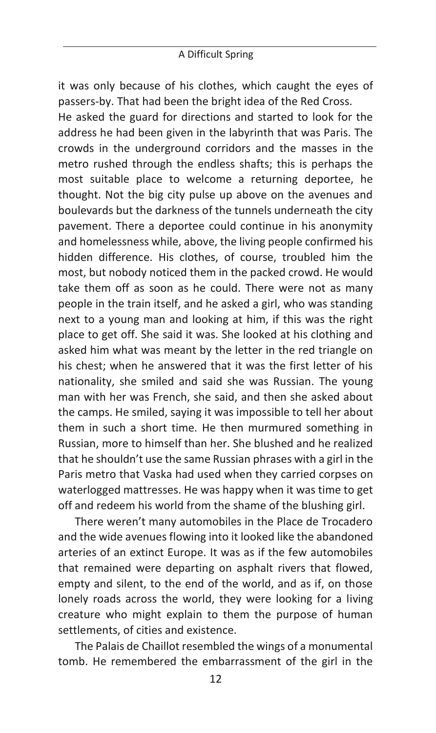it was only because of his clothes, which caught the eyes of passers-by. That had been the bright idea of the Red Cross.

He asked the guard for directions and started to look for the address he had been given in the labyrinth that was Paris. The crowds in the underground corridors and the masses in the metro rushed through the endless shafts; this is perhaps the most suitable place to welcome a returning deportee, he thought. Not the big city pulse up above on the avenues and boulevards but the darkness of the tunnels underneath the city pavement. There a deportee could continue in his anonymity and homelessness while, above, the living people confirmed his hidden difference. His clothes, of course, troubled him the most, but nobody noticed them in the packed crowd. He would take them off as soon as he could. There were not as many people in the train itself, and he asked a girl, who was standing next to a young man and looking at him, if this was the right place to get off. She said it was. She looked at his clothing and asked him what was meant by the letter in the red triangle on his chest; when he answered that it was the first letter of his nationality, she smiled and said she was Russian. The young man with her was French, she said, and then she asked about the camps. He smiled, saying it was impossible to tell her about them in such a short time. He then murmured something in Russian, more to himself than her. She blushed and he realized that he shouldn't use the same Russian phrases with a girl in the Paris metro that Vaska had used when they carried corpses on waterlogged mattresses. He was happy when it was time to get off and redeem his world from the shame of the blushing girl.

There weren't many automobiles in the Place de Trocadero and the wide avenues flowing into it looked like the abandoned arteries of an extinct Europe. It was as if the few automobiles that remained were departing on asphalt rivers that flowed, empty and silent, to the end of the world, and as if, on those lonely roads across the world, they were looking for a living creature who might explain to them the purpose of human settlements, of cities and existence.

The Palais de Chaillot resembled the wings of a monumental tomb. He remembered the embarrassment of the girl in the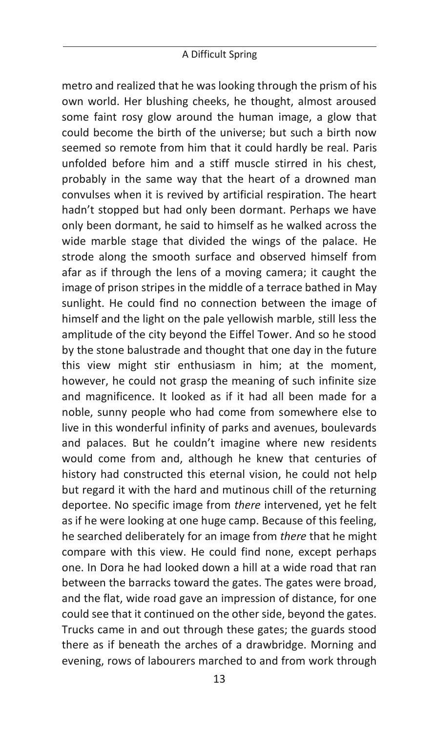#### A Difficult Spring

metro and realized that he was looking through the prism of his own world. Her blushing cheeks, he thought, almost aroused some faint rosy glow around the human image, a glow that could become the birth of the universe; but such a birth now seemed so remote from him that it could hardly be real. Paris unfolded before him and a stiff muscle stirred in his chest, probably in the same way that the heart of a drowned man convulses when it is revived by artificial respiration. The heart hadn't stopped but had only been dormant. Perhaps we have only been dormant, he said to himself as he walked across the wide marble stage that divided the wings of the palace. He strode along the smooth surface and observed himself from afar as if through the lens of a moving camera; it caught the image of prison stripes in the middle of a terrace bathed in May sunlight. He could find no connection between the image of himself and the light on the pale yellowish marble, still less the amplitude of the city beyond the Eiffel Tower. And so he stood by the stone balustrade and thought that one day in the future this view might stir enthusiasm in him; at the moment, however, he could not grasp the meaning of such infinite size and magnificence. It looked as if it had all been made for a noble, sunny people who had come from somewhere else to live in this wonderful infinity of parks and avenues, boulevards and palaces. But he couldn't imagine where new residents would come from and, although he knew that centuries of history had constructed this eternal vision, he could not help but regard it with the hard and mutinous chill of the returning deportee. No specific image from *there* intervened, yet he felt as if he were looking at one huge camp. Because of this feeling, he searched deliberately for an image from *there* that he might compare with this view. He could find none, except perhaps one. In Dora he had looked down a hill at a wide road that ran between the barracks toward the gates. The gates were broad, and the flat, wide road gave an impression of distance, for one could see that it continued on the other side, beyond the gates. Trucks came in and out through these gates; the guards stood there as if beneath the arches of a drawbridge. Morning and evening, rows of labourers marched to and from work through